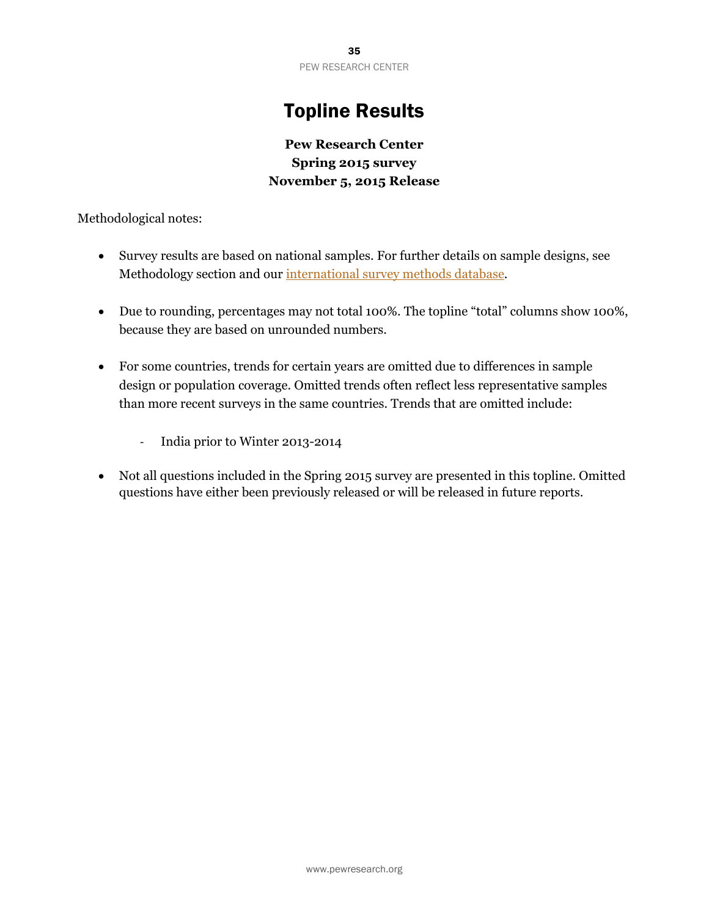# Topline Results

## **Pew Research Center Spring 2015 survey November 5, 2015 Release**

Methodological notes:

- Survey results are based on national samples. For further details on sample designs, see Methodology section and our [international survey methods database.](http://www.pewglobal.org/international-survey-methodology/)
- Due to rounding, percentages may not total 100%. The topline "total" columns show 100%, because they are based on unrounded numbers.
- For some countries, trends for certain years are omitted due to differences in sample design or population coverage. Omitted trends often reflect less representative samples than more recent surveys in the same countries. Trends that are omitted include:
	- ‐ India prior to Winter 2013-2014
- Not all questions included in the Spring 2015 survey are presented in this topline. Omitted questions have either been previously released or will be released in future reports.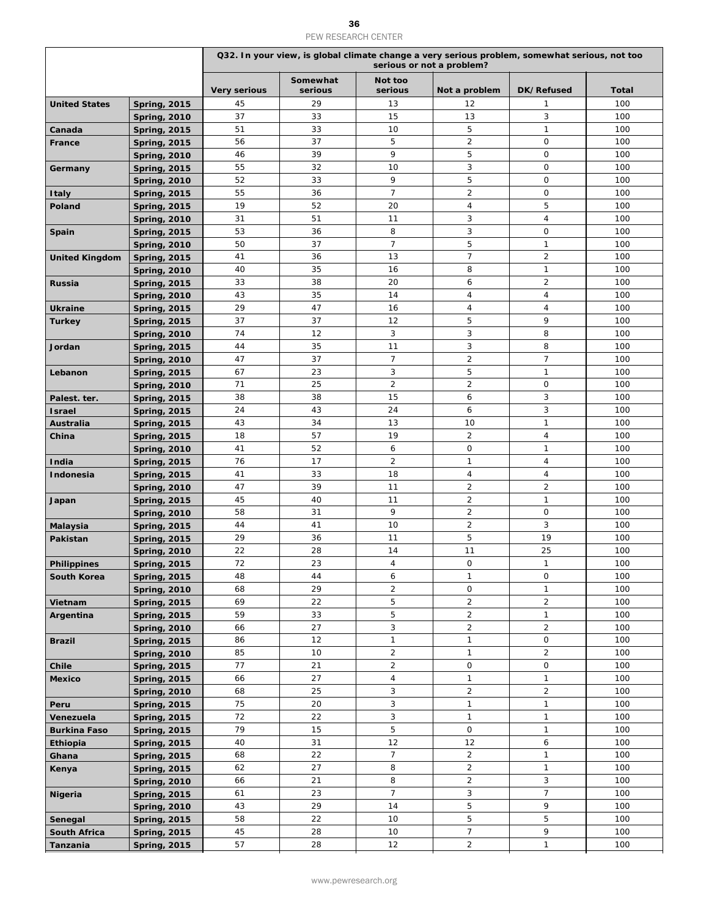### ${\bf 36}$ PEW RESEARCH CENTER

|                       |                     |                     |                     |                    | serious or not a problem? | Q32. In your view, is global climate change a very serious problem, somewhat serious, not too |       |  |
|-----------------------|---------------------|---------------------|---------------------|--------------------|---------------------------|-----------------------------------------------------------------------------------------------|-------|--|
|                       |                     | <b>Very serious</b> | Somewhat<br>serious | Not too<br>serious | Not a problem             | DK/Refused                                                                                    | Total |  |
| <b>United States</b>  | <b>Spring, 2015</b> | 45                  | 29                  | 13                 | 12                        | $\mathbf{1}$                                                                                  | 100   |  |
|                       | <b>Spring, 2010</b> | 37                  | 33                  | 15                 | 13                        | 3                                                                                             | 100   |  |
| Canada                | <b>Spring, 2015</b> | 51                  | 33                  | 10                 | 5                         | $\mathbf{1}$                                                                                  | 100   |  |
| France                | <b>Spring, 2015</b> | 56                  | 37                  | 5                  | $\overline{a}$            | $\mathbf 0$                                                                                   | 100   |  |
|                       | <b>Spring, 2010</b> | 46                  | 39                  | 9                  | 5                         | $\mathsf{O}$                                                                                  | 100   |  |
| Germany               | <b>Spring, 2015</b> | 55                  | 32                  | 10                 | 3                         | $\mathsf{O}$                                                                                  | 100   |  |
|                       | <b>Spring, 2010</b> | 52                  | 33                  | 9                  | 5                         | $\mathsf{O}$                                                                                  | 100   |  |
| <b>Italy</b>          | <b>Spring, 2015</b> | 55                  | 36                  | $\overline{7}$     | $\overline{2}$            | $\mathsf{O}$                                                                                  | 100   |  |
| Poland                | <b>Spring, 2015</b> | 19                  | 52                  | 20                 | $\overline{4}$            | 5                                                                                             | 100   |  |
|                       | <b>Spring, 2010</b> | 31                  | 51                  | 11                 | 3                         | $\overline{4}$                                                                                | 100   |  |
| Spain                 | <b>Spring, 2015</b> | 53                  | 36                  | 8                  | 3                         | $\mathsf{O}$                                                                                  | 100   |  |
|                       | <b>Spring, 2010</b> | 50                  | 37                  | $\overline{7}$     | 5                         | $\mathbf{1}$                                                                                  | 100   |  |
| <b>United Kingdom</b> | <b>Spring, 2015</b> | 41                  | 36                  | 13                 | $\overline{7}$            | $\overline{2}$                                                                                | 100   |  |
|                       | <b>Spring, 2010</b> | 40                  | 35                  | 16                 | 8                         | $\mathbf{1}$                                                                                  | 100   |  |
| <b>Russia</b>         | <b>Spring, 2015</b> | 33                  | 38                  | 20                 | 6                         | $\overline{2}$                                                                                | 100   |  |
|                       | <b>Spring, 2010</b> | 43                  | 35                  | 14                 | 4                         | 4                                                                                             | 100   |  |
|                       | <b>Spring, 2015</b> | 29                  | 47                  | 16                 | $\overline{4}$            | $\overline{4}$                                                                                | 100   |  |
| <b>Ukraine</b>        |                     | 37                  | 37                  | 12                 | 5                         | 9                                                                                             | 100   |  |
| <b>Turkey</b>         | <b>Spring, 2015</b> | 74                  | 12                  | 3                  | 3                         | 8                                                                                             | 100   |  |
|                       | <b>Spring, 2010</b> | 44                  | 35                  | 11                 | 3                         | 8                                                                                             | 100   |  |
| Jordan                | <b>Spring, 2015</b> |                     |                     |                    |                           |                                                                                               |       |  |
|                       | <b>Spring, 2010</b> | 47                  | 37                  | $\overline{7}$     | $\overline{2}$            | $\overline{7}$                                                                                | 100   |  |
| Lebanon               | <b>Spring, 2015</b> | 67                  | 23                  | 3                  | 5                         | $\mathbf{1}$                                                                                  | 100   |  |
|                       | <b>Spring, 2010</b> | 71                  | 25                  | $\overline{2}$     | $\overline{2}$            | $\mathbf 0$                                                                                   | 100   |  |
| Palest. ter.          | <b>Spring, 2015</b> | 38                  | 38                  | 15                 | 6                         | 3                                                                                             | 100   |  |
| <b>Israel</b>         | <b>Spring, 2015</b> | 24                  | 43                  | 24                 | 6                         | 3                                                                                             | 100   |  |
| <b>Australia</b>      | <b>Spring, 2015</b> | 43                  | 34                  | 13                 | 10                        | $\mathbf{1}$                                                                                  | 100   |  |
| China                 | <b>Spring, 2015</b> | 18                  | 57                  | 19                 | $\overline{2}$            | $\overline{4}$                                                                                | 100   |  |
|                       | <b>Spring, 2010</b> | 41                  | 52                  | 6                  | $\mathbf 0$               | $\mathbf{1}$                                                                                  | 100   |  |
| India                 | <b>Spring, 2015</b> | 76                  | 17                  | $\overline{2}$     | $\mathbf{1}$              | 4                                                                                             | 100   |  |
| Indonesia             | <b>Spring, 2015</b> | 41                  | 33                  | 18                 | $\overline{4}$            | $\overline{4}$                                                                                | 100   |  |
|                       | <b>Spring, 2010</b> | 47                  | 39                  | 11                 | $\overline{2}$            | $\overline{2}$                                                                                | 100   |  |
| Japan                 | <b>Spring, 2015</b> | 45                  | 40                  | 11                 | $\overline{c}$            | $\mathbf{1}$                                                                                  | 100   |  |
|                       | <b>Spring, 2010</b> | 58                  | 31                  | 9                  | $\overline{2}$            | $\mathbf 0$                                                                                   | 100   |  |
| Malaysia              | <b>Spring, 2015</b> | 44                  | 41                  | 10                 | $\overline{a}$            | 3                                                                                             | 100   |  |
| <b>Pakistan</b>       | <b>Spring, 2015</b> | 29                  | 36                  | 11                 | 5                         | 19                                                                                            | 100   |  |
|                       | <b>Spring, 2010</b> | 22                  | 28                  | 14                 | 11                        | 25                                                                                            | 100   |  |
| <b>Philippines</b>    | <b>Spring, 2015</b> | 72                  | 23                  | 4                  | $\mathsf{O}$              | $\mathbf{1}$                                                                                  | 100   |  |
| South Korea           | <b>Spring, 2015</b> | 48                  | 44                  | 6                  | $\mathbf{1}$              | $\mathsf{O}$                                                                                  | 100   |  |
|                       | <b>Spring, 2010</b> | 68                  | 29                  | $\overline{2}$     | $\mathsf{O}$              | $\mathbf{1}$                                                                                  | 100   |  |
| Vietnam               | <b>Spring, 2015</b> | 69                  | 22                  | 5                  | $\overline{2}$            | $\overline{2}$                                                                                | 100   |  |
| Argentina             | <b>Spring, 2015</b> | 59                  | 33                  | 5                  | $\overline{a}$            | $\mathbf{1}$                                                                                  | 100   |  |
|                       | <b>Spring, 2010</b> | 66                  | 27                  | 3                  | $\overline{2}$            | $\overline{2}$                                                                                | 100   |  |
| <b>Brazil</b>         |                     | 86                  | 12                  | $\mathbf{1}$       | $\mathbf{1}$              | $\mathsf O$                                                                                   | 100   |  |
|                       | <b>Spring, 2015</b> | 85                  | 10                  | $\overline{2}$     | $\mathbf{1}$              | $\overline{2}$                                                                                | 100   |  |
|                       | <b>Spring, 2010</b> | 77                  | 21                  | $\overline{2}$     | $\mathbf 0$               | $\mathbf 0$                                                                                   | 100   |  |
| <b>Chile</b>          | <b>Spring, 2015</b> | 66                  | 27                  | 4                  | $\mathbf{1}$              | $\mathbf{1}$                                                                                  | 100   |  |
| <b>Mexico</b>         | <b>Spring, 2015</b> |                     |                     |                    |                           |                                                                                               |       |  |
|                       | <b>Spring, 2010</b> | 68                  | 25                  | 3                  | $\overline{a}$            | $\overline{2}$                                                                                | 100   |  |
| Peru                  | <b>Spring, 2015</b> | 75                  | 20                  | 3                  | $\mathbf{1}$              | $\mathbf{1}$                                                                                  | 100   |  |
| Venezuela             | <b>Spring, 2015</b> | 72                  | 22                  | 3                  | $\mathbf{1}$              | $\mathbf{1}$                                                                                  | 100   |  |
| <b>Burkina Faso</b>   | <b>Spring, 2015</b> | 79                  | 15                  | 5                  | $\mathsf{O}$              | $\mathbf{1}$                                                                                  | 100   |  |
| Ethiopia              | <b>Spring, 2015</b> | 40                  | 31                  | 12                 | 12                        | 6                                                                                             | 100   |  |
| Ghana                 | <b>Spring, 2015</b> | 68                  | 22                  | $\overline{7}$     | $\overline{2}$            | $\mathbf{1}$                                                                                  | 100   |  |
| Kenya                 | <b>Spring, 2015</b> | 62                  | 27                  | 8                  | $\overline{2}$            | $\mathbf{1}$                                                                                  | 100   |  |
|                       | <b>Spring, 2010</b> | 66                  | 21                  | 8                  | $\overline{2}$            | 3                                                                                             | 100   |  |
| <b>Nigeria</b>        | <b>Spring, 2015</b> | 61                  | 23                  | $\overline{7}$     | $\mathbf{3}$              | $\overline{7}$                                                                                | 100   |  |
|                       | <b>Spring, 2010</b> | 43                  | 29                  | 14                 | 5                         | 9                                                                                             | 100   |  |
| Senegal               | <b>Spring, 2015</b> | 58                  | 22                  | 10                 | $\mathbf 5$               | 5                                                                                             | 100   |  |
| <b>South Africa</b>   | <b>Spring, 2015</b> | 45                  | 28                  | 10                 | $\overline{7}$            | 9                                                                                             | 100   |  |
| Tanzania              | <b>Spring, 2015</b> | 57                  | 28                  | 12                 | $\overline{2}$            | $\mathbf{1}$                                                                                  | 100   |  |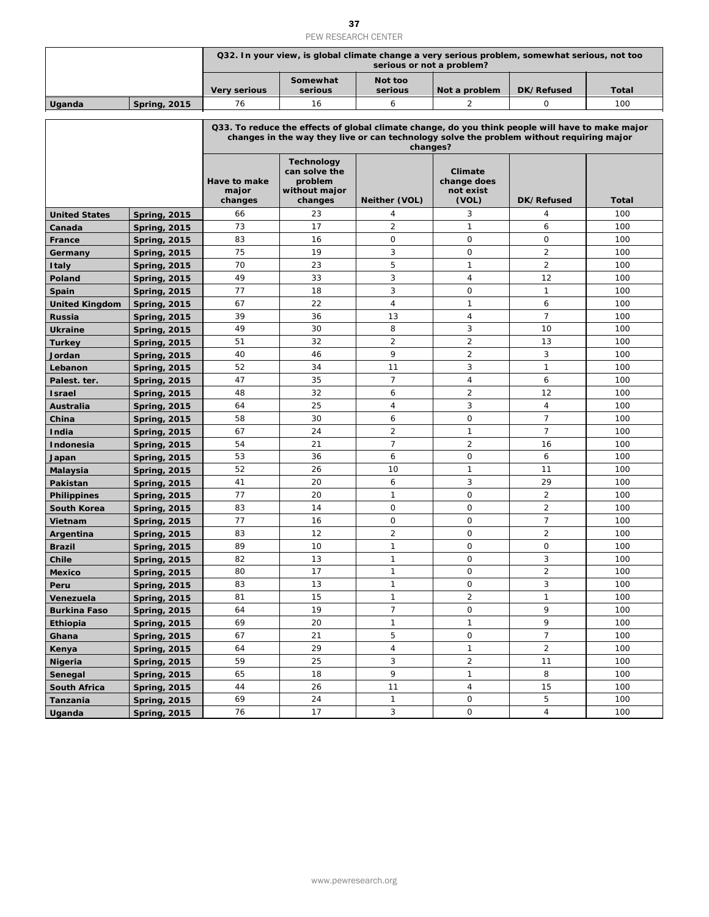### ${\bf 37}$ PEW RESEARCH CENTER

|                       |                                            |                                                                                                                                                                                                          |                                                                           | PEW RESEARCH CENTER          |                                              |                                                                                               |              |  |  |  |  |
|-----------------------|--------------------------------------------|----------------------------------------------------------------------------------------------------------------------------------------------------------------------------------------------------------|---------------------------------------------------------------------------|------------------------------|----------------------------------------------|-----------------------------------------------------------------------------------------------|--------------|--|--|--|--|
|                       |                                            |                                                                                                                                                                                                          |                                                                           | serious or not a problem?    |                                              | Q32. In your view, is global climate change a very serious problem, somewhat serious, not too |              |  |  |  |  |
|                       |                                            | <b>Very serious</b>                                                                                                                                                                                      | Somewhat<br>serious                                                       | Not too<br>serious           | Not a problem                                | DK/Refused                                                                                    | Total        |  |  |  |  |
| Uganda                | <b>Spring, 2015</b>                        | 76                                                                                                                                                                                                       | 16                                                                        | 6                            | 2                                            | 0                                                                                             | 100          |  |  |  |  |
|                       |                                            | Q33. To reduce the effects of global climate change, do you think people will have to make major<br>changes in the way they live or can technology solve the problem without requiring major<br>changes? |                                                                           |                              |                                              |                                                                                               |              |  |  |  |  |
|                       |                                            | Have to make<br>major<br>changes                                                                                                                                                                         | <b>Technology</b><br>can solve the<br>problem<br>without major<br>changes | Neither (VOL)                | Climate<br>change does<br>not exist<br>(VOL) | DK/Refused                                                                                    | <b>Total</b> |  |  |  |  |
| <b>United States</b>  | <b>Spring, 2015</b>                        | 66                                                                                                                                                                                                       | 23                                                                        | 4                            | 3                                            | $\overline{4}$                                                                                | 100          |  |  |  |  |
| Canada                | <b>Spring, 2015</b>                        | 73                                                                                                                                                                                                       | 17                                                                        | $\overline{2}$               | $\mathbf{1}$                                 | 6                                                                                             | 100          |  |  |  |  |
| France                | <b>Spring, 2015</b>                        | 83                                                                                                                                                                                                       | 16                                                                        | $\circ$                      | $\mathbf 0$                                  | $\circ$                                                                                       | 100          |  |  |  |  |
| Germany               | <b>Spring, 2015</b>                        | 75                                                                                                                                                                                                       | 19                                                                        | 3                            | $\mathbf 0$                                  | $\overline{2}$                                                                                | 100          |  |  |  |  |
| <b>Italy</b>          | <b>Spring, 2015</b>                        | 70                                                                                                                                                                                                       | 23                                                                        | 5                            | $\mathbf{1}$                                 | $\overline{2}$                                                                                | 100          |  |  |  |  |
| Poland                | <b>Spring, 2015</b>                        | 49                                                                                                                                                                                                       | 33                                                                        | 3                            | $\overline{4}$                               | 12                                                                                            | 100          |  |  |  |  |
| Spain                 | <b>Spring, 2015</b>                        | 77                                                                                                                                                                                                       | 18                                                                        | 3                            | $\mathbf 0$                                  | $\mathbf{1}$                                                                                  | 100          |  |  |  |  |
| <b>United Kingdom</b> | <b>Spring, 2015</b>                        | 67<br>39                                                                                                                                                                                                 | 22                                                                        | 4                            | $\mathbf{1}$                                 | 6<br>$\overline{7}$                                                                           | 100          |  |  |  |  |
| <b>Russia</b>         | <b>Spring, 2015</b>                        |                                                                                                                                                                                                          | 36                                                                        | 13<br>8                      | 4                                            |                                                                                               | 100          |  |  |  |  |
| <b>Ukraine</b>        | <b>Spring, 2015</b>                        | 49<br>51                                                                                                                                                                                                 | 30<br>32                                                                  | $\overline{2}$               | 3<br>$\overline{2}$                          | 10<br>13                                                                                      | 100<br>100   |  |  |  |  |
| <b>Turkey</b>         | <b>Spring, 2015</b>                        |                                                                                                                                                                                                          |                                                                           | 9                            | $\overline{2}$                               | 3                                                                                             |              |  |  |  |  |
| Jordan<br>Lebanon     | <b>Spring, 2015</b>                        | 40<br>52                                                                                                                                                                                                 | 46<br>34                                                                  | 11                           | 3                                            | $\mathbf{1}$                                                                                  | 100<br>100   |  |  |  |  |
| Palest. ter.          | <b>Spring, 2015</b>                        | 47                                                                                                                                                                                                       | 35                                                                        | $\overline{7}$               | $\overline{4}$                               | 6                                                                                             | 100          |  |  |  |  |
| <b>Israel</b>         | <b>Spring, 2015</b><br><b>Spring, 2015</b> | 48                                                                                                                                                                                                       | 32                                                                        | 6                            | $\overline{2}$                               | 12                                                                                            | 100          |  |  |  |  |
| <b>Australia</b>      | <b>Spring, 2015</b>                        | 64                                                                                                                                                                                                       | 25                                                                        | 4                            | 3                                            | 4                                                                                             | 100          |  |  |  |  |
| China                 | <b>Spring, 2015</b>                        | 58                                                                                                                                                                                                       | 30                                                                        | 6                            | $\mathbf 0$                                  | $\overline{7}$                                                                                | 100          |  |  |  |  |
| India                 | <b>Spring, 2015</b>                        | 67                                                                                                                                                                                                       | 24                                                                        | $\overline{2}$               | $\mathbf{1}$                                 | $\overline{7}$                                                                                | 100          |  |  |  |  |
| Indonesia             | <b>Spring, 2015</b>                        | 54                                                                                                                                                                                                       | 21                                                                        | $\overline{7}$               | $\overline{2}$                               | 16                                                                                            | 100          |  |  |  |  |
| Japan                 | <b>Spring, 2015</b>                        | 53                                                                                                                                                                                                       | 36                                                                        | 6                            | $\mathbf 0$                                  | 6                                                                                             | 100          |  |  |  |  |
| <b>Malaysia</b>       | <b>Spring, 2015</b>                        | 52                                                                                                                                                                                                       | 26                                                                        | 10                           | $\mathbf{1}$                                 | 11                                                                                            | 100          |  |  |  |  |
| Pakistan              | <b>Spring, 2015</b>                        | 41                                                                                                                                                                                                       | 20                                                                        | 6                            | 3                                            | 29                                                                                            | 100          |  |  |  |  |
| <b>Philippines</b>    | <b>Spring, 2015</b>                        | 77                                                                                                                                                                                                       | 20                                                                        | $\mathbf{1}$                 | $\mathbf 0$                                  | $\overline{2}$                                                                                | 100          |  |  |  |  |
| <b>South Korea</b>    | <b>Spring, 2015</b>                        | 83                                                                                                                                                                                                       | 14                                                                        | $\mathbf 0$                  | $\mathbf 0$                                  | $\overline{2}$                                                                                | 100          |  |  |  |  |
| Vietnam               | <b>Spring, 2015</b>                        | 77                                                                                                                                                                                                       | 16                                                                        | 0                            | 0                                            | $\overline{7}$                                                                                | 100          |  |  |  |  |
| Argentina             | <b>Spring, 2015</b>                        | 83                                                                                                                                                                                                       | 12                                                                        | $\overline{2}$               | $\mathsf{O}$                                 | $\overline{2}$                                                                                | 100          |  |  |  |  |
| <b>Brazil</b>         | <b>Spring, 2015</b>                        | 89                                                                                                                                                                                                       | 10                                                                        | $\mathbf{1}$                 | 0                                            | $\mathsf{O}$                                                                                  | 100          |  |  |  |  |
| Chile                 | <b>Spring, 2015</b>                        | 82                                                                                                                                                                                                       | 13                                                                        | $\mathbf{1}$                 | $\mathsf{O}$                                 | 3                                                                                             | 100          |  |  |  |  |
| <b>Mexico</b>         | <b>Spring, 2015</b>                        | 80                                                                                                                                                                                                       | 17                                                                        | $\mathbf{1}$                 | 0                                            | $\overline{2}$                                                                                | 100          |  |  |  |  |
| Peru                  | <b>Spring, 2015</b>                        | 83                                                                                                                                                                                                       | 13                                                                        | $\mathbf{1}$                 | $\mathsf O$                                  | $\mathbf{3}$                                                                                  | 100          |  |  |  |  |
| Venezuela             | <b>Spring, 2015</b>                        | 81                                                                                                                                                                                                       | 15                                                                        | $\mathbf{1}$                 | $\overline{a}$                               | $\mathbf{1}$                                                                                  | 100          |  |  |  |  |
| <b>Burkina Faso</b>   | <b>Spring, 2015</b>                        | 64                                                                                                                                                                                                       | 19                                                                        | $\overline{7}$               | $\mathsf O$                                  | 9                                                                                             | 100          |  |  |  |  |
| Ethiopia              | <b>Spring, 2015</b>                        | 69                                                                                                                                                                                                       | 20                                                                        | $\mathbf{1}$                 | $\mathbf{1}$                                 | 9                                                                                             | 100          |  |  |  |  |
| Ghana                 | <b>Spring, 2015</b>                        | 67                                                                                                                                                                                                       | 21                                                                        | 5                            | $\mathsf{O}$                                 | $\overline{7}$                                                                                | 100          |  |  |  |  |
| Kenya                 | <b>Spring, 2015</b>                        | 64                                                                                                                                                                                                       | 29                                                                        | $\sqrt{4}$                   | $\mathbf{1}$                                 | $\overline{2}$                                                                                | 100          |  |  |  |  |
| <b>Nigeria</b>        | <b>Spring, 2015</b>                        | 59                                                                                                                                                                                                       | 25                                                                        | 3                            | $\overline{2}$                               | 11                                                                                            | 100          |  |  |  |  |
| Senegal               | <b>Spring, 2015</b>                        | 65                                                                                                                                                                                                       | 18                                                                        | 9                            | $\mathbf{1}$                                 | 8                                                                                             | 100          |  |  |  |  |
| <b>South Africa</b>   | <b>Spring, 2015</b>                        | 44                                                                                                                                                                                                       | 26                                                                        | 11                           | $\overline{4}$                               | 15                                                                                            | 100          |  |  |  |  |
| Tanzania              | <b>Spring, 2015</b>                        | 69<br>76                                                                                                                                                                                                 | 24<br>17                                                                  | $\mathbf{1}$<br>$\mathbf{3}$ | 0<br>0                                       | 5<br>$\overline{4}$                                                                           | 100<br>100   |  |  |  |  |
| Uganda                | <b>Spring, 2015</b>                        |                                                                                                                                                                                                          |                                                                           |                              |                                              |                                                                                               |              |  |  |  |  |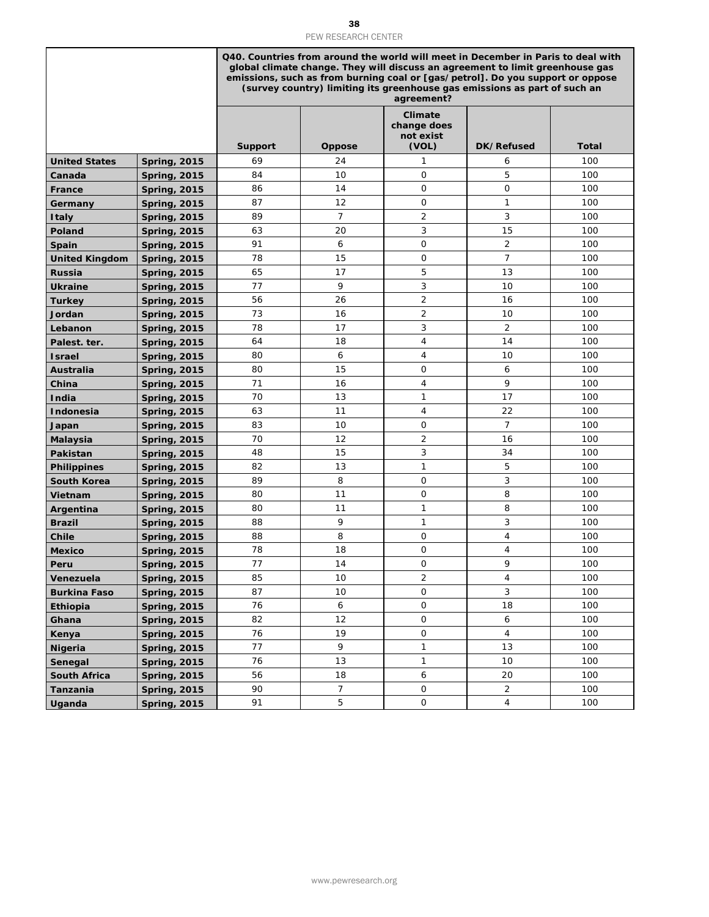| <b>United States</b><br>Canada<br>France<br>Germany<br><b>Italy</b> | <b>Spring, 2015</b><br><b>Spring, 2015</b><br><b>Spring, 2015</b> | <b>Support</b><br>69<br>84 | Oppose         | Q40. Countries from around the world will meet in December in Paris to deal with<br>global climate change. They will discuss an agreement to limit greenhouse gas<br>emissions, such as from burning coal or [gas/petrol]. Do you support or oppose<br>(survey country) limiting its greenhouse gas emissions as part of such an<br>agreement?<br><b>Climate</b><br>change does<br>not exist |                |              |
|---------------------------------------------------------------------|-------------------------------------------------------------------|----------------------------|----------------|----------------------------------------------------------------------------------------------------------------------------------------------------------------------------------------------------------------------------------------------------------------------------------------------------------------------------------------------------------------------------------------------|----------------|--------------|
|                                                                     |                                                                   |                            |                |                                                                                                                                                                                                                                                                                                                                                                                              |                |              |
|                                                                     |                                                                   |                            |                | (VOL)                                                                                                                                                                                                                                                                                                                                                                                        | DK/Refused     | <b>Total</b> |
|                                                                     |                                                                   |                            | 24             | 1                                                                                                                                                                                                                                                                                                                                                                                            | 6              | 100          |
|                                                                     |                                                                   |                            | 10             | $\mathbf 0$                                                                                                                                                                                                                                                                                                                                                                                  | 5              | 100          |
|                                                                     |                                                                   | 86                         | 14             | $\mathbf 0$                                                                                                                                                                                                                                                                                                                                                                                  | 0              | 100          |
|                                                                     | <b>Spring, 2015</b>                                               | 87                         | 12             | $\mathbf 0$                                                                                                                                                                                                                                                                                                                                                                                  | 1              | 100          |
|                                                                     | <b>Spring, 2015</b>                                               | 89                         | $\overline{7}$ | $\overline{2}$                                                                                                                                                                                                                                                                                                                                                                               | 3              | 100          |
| Poland                                                              | <b>Spring, 2015</b>                                               | 63                         | 20             | 3                                                                                                                                                                                                                                                                                                                                                                                            | 15             | 100          |
| Spain                                                               | <b>Spring, 2015</b>                                               | 91                         | 6              | $\mathsf O$                                                                                                                                                                                                                                                                                                                                                                                  | $\overline{2}$ | 100          |
| <b>United Kingdom</b>                                               | <b>Spring, 2015</b>                                               | 78                         | 15             | 0                                                                                                                                                                                                                                                                                                                                                                                            | $\overline{7}$ | 100          |
| <b>Russia</b>                                                       | <b>Spring, 2015</b>                                               | 65                         | 17             | 5                                                                                                                                                                                                                                                                                                                                                                                            | 13             | 100          |
| Ukraine                                                             | <b>Spring, 2015</b>                                               | 77                         | 9              | 3                                                                                                                                                                                                                                                                                                                                                                                            | 10             | 100          |
| Turkey                                                              | <b>Spring, 2015</b>                                               | 56                         | 26             | $\overline{2}$                                                                                                                                                                                                                                                                                                                                                                               | 16             | 100          |
| Jordan                                                              | <b>Spring, 2015</b>                                               | 73                         | 16             | $\overline{2}$                                                                                                                                                                                                                                                                                                                                                                               | 10             | 100          |
| Lebanon                                                             | <b>Spring, 2015</b>                                               | 78                         | 17             | 3                                                                                                                                                                                                                                                                                                                                                                                            | $\overline{2}$ | 100          |
| Palest. ter.                                                        | <b>Spring, 2015</b>                                               | 64                         | 18             | 4                                                                                                                                                                                                                                                                                                                                                                                            | 14             | 100          |
| <b>Israel</b>                                                       | <b>Spring, 2015</b>                                               | 80                         | 6              | 4                                                                                                                                                                                                                                                                                                                                                                                            | 10             | 100          |
| Australia                                                           | <b>Spring, 2015</b>                                               | 80                         | 15             | $\mathbf 0$                                                                                                                                                                                                                                                                                                                                                                                  | 6              | 100          |
| China                                                               | <b>Spring, 2015</b>                                               | 71                         | 16             | 4                                                                                                                                                                                                                                                                                                                                                                                            | 9              | 100          |
| India                                                               | <b>Spring, 2015</b>                                               | 70                         | 13             | 1                                                                                                                                                                                                                                                                                                                                                                                            | 17             | 100          |
| Indonesia                                                           | <b>Spring, 2015</b>                                               | 63                         | 11             | 4                                                                                                                                                                                                                                                                                                                                                                                            | 22             | 100          |
| Japan                                                               | <b>Spring, 2015</b>                                               | 83                         | 10             | $\mathbf 0$                                                                                                                                                                                                                                                                                                                                                                                  | $\overline{7}$ | 100          |
| <b>Malaysia</b>                                                     | <b>Spring, 2015</b>                                               | 70                         | 12             | 2                                                                                                                                                                                                                                                                                                                                                                                            | 16             | 100          |
| Pakistan                                                            | <b>Spring, 2015</b>                                               | 48                         | 15             | 3                                                                                                                                                                                                                                                                                                                                                                                            | 34             | 100          |
| <b>Philippines</b>                                                  | <b>Spring, 2015</b>                                               | 82                         | 13             | 1                                                                                                                                                                                                                                                                                                                                                                                            | 5              | 100          |
| South Korea                                                         | <b>Spring, 2015</b>                                               | 89                         | 8              | $\mathbf 0$                                                                                                                                                                                                                                                                                                                                                                                  | 3              | 100          |
| Vietnam                                                             | <b>Spring, 2015</b>                                               | 80                         | 11             | $\mathbf 0$                                                                                                                                                                                                                                                                                                                                                                                  | 8              | 100          |
| Argentina                                                           | <b>Spring, 2015</b>                                               | 80                         | 11             | 1                                                                                                                                                                                                                                                                                                                                                                                            | 8              | 100          |
| <b>Brazil</b>                                                       | <b>Spring, 2015</b>                                               | 88                         | 9              | 1                                                                                                                                                                                                                                                                                                                                                                                            | 3              | 100          |
| Chile                                                               | <b>Spring, 2015</b>                                               | 88                         | 8              | $\Omega$                                                                                                                                                                                                                                                                                                                                                                                     | $\overline{4}$ | 100          |
| <b>Mexico</b>                                                       | <b>Spring, 2015</b>                                               | 78                         | 18             | 0                                                                                                                                                                                                                                                                                                                                                                                            | 4              | 100          |
| Peru                                                                | <b>Spring, 2015</b>                                               | 77                         | 14             | 0                                                                                                                                                                                                                                                                                                                                                                                            | 9              | 100          |
| Venezuela                                                           | <b>Spring, 2015</b>                                               | 85                         | 10             | $\overline{a}$                                                                                                                                                                                                                                                                                                                                                                               | 4              | 100          |
| <b>Burkina Faso</b>                                                 | <b>Spring, 2015</b>                                               | 87                         | 10             | $\mathsf{O}\xspace$                                                                                                                                                                                                                                                                                                                                                                          | 3              | 100          |
| Ethiopia                                                            | <b>Spring, 2015</b>                                               | 76                         | $\epsilon$     | $\mathsf{O}\xspace$                                                                                                                                                                                                                                                                                                                                                                          | 18             | 100          |
| Ghana                                                               | <b>Spring, 2015</b>                                               | 82<br>76                   | 12<br>19       | $\mathsf{O}\xspace$<br>$\mathsf{O}\xspace$                                                                                                                                                                                                                                                                                                                                                   | 6<br>4         | 100<br>100   |
| Kenya                                                               | <b>Spring, 2015</b><br><b>Spring, 2015</b>                        | 77                         | 9              | $\mathbf{1}$                                                                                                                                                                                                                                                                                                                                                                                 | 13             | 100          |
| <b>Nigeria</b><br>Senegal                                           | <b>Spring, 2015</b>                                               | 76                         | 13             | $\mathbf{1}$                                                                                                                                                                                                                                                                                                                                                                                 | 10             | 100          |
| <b>South Africa</b>                                                 | <b>Spring, 2015</b>                                               | 56                         | 18             | 6                                                                                                                                                                                                                                                                                                                                                                                            | 20             | 100          |
| Tanzania                                                            | <b>Spring, 2015</b>                                               | 90                         | $\overline{7}$ | $\mathsf{O}\xspace$                                                                                                                                                                                                                                                                                                                                                                          | 2              | 100          |
| Uganda                                                              | <b>Spring, 2015</b>                                               | 91                         | 5              | $\mathsf{O}$                                                                                                                                                                                                                                                                                                                                                                                 | 4              | 100          |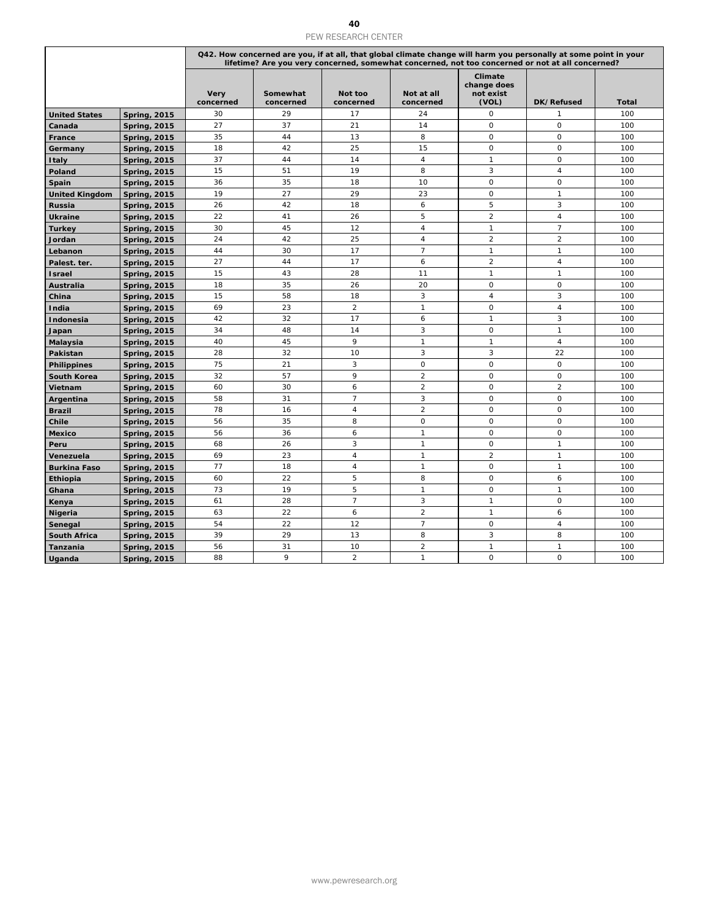| Q42. How concerned are you, if at all, that global climate change will harm you personally at some point in your<br>lifetime? Are you very concerned, somewhat concerned, not too concerned or not at all concerned?<br>Climate<br>change does<br><b>Very</b><br>Somewhat<br>Not too<br>Not at all<br>not exist<br>(VOL)<br>concerned<br>concerned<br>concerned<br>concerned<br><b>DK/Refused</b><br><b>Total</b><br>30<br>29<br>24<br>$\mathbf 0$<br><b>United States</b><br><b>Spring, 2015</b><br>17<br>1<br>100<br>14<br>$\mathsf O$<br>27<br>37<br>21<br>0<br>100<br>Canada<br><b>Spring, 2015</b><br>8<br>$\circ$<br>35<br>44<br>13<br>$\mathsf O$<br>100<br><b>Spring, 2015</b><br>France<br>18<br>42<br>25<br>15<br>0<br>0<br>100<br><b>Spring, 2015</b><br>Germany<br>37<br>$\sqrt{4}$<br>$\mathsf O$<br>44<br>14<br>$\mathbf{1}$<br>100<br><b>Spring, 2015</b><br><b>Italy</b><br>15<br>51<br>19<br>8<br>3<br>$\overline{4}$<br>100<br>Poland<br><b>Spring, 2015</b><br>35<br>10<br>$\mathsf O$<br>$\mathsf{O}\xspace$<br>36<br>18<br>100<br><b>Spring, 2015</b><br>Spain<br>19<br>27<br>29<br>23<br>$\mathsf O$<br>$\mathbf{1}$<br>100<br><b>United Kingdom</b><br><b>Spring, 2015</b><br>5<br>3<br>26<br>42<br>18<br>6<br>100<br><b>Spring, 2015</b><br>Russia<br>5<br>$\overline{2}$<br>22<br>$\overline{4}$<br>41<br>26<br>100<br><b>Ukraine</b><br><b>Spring, 2015</b><br>12<br>$\overline{4}$<br>$\mathbf{1}$<br>$\overline{7}$<br>30<br>45<br>100<br>Turkey<br><b>Spring, 2015</b><br>$\overline{2}$<br>$\overline{2}$<br>25<br>24<br>42<br>$\overline{4}$<br>100<br><b>Spring, 2015</b><br>Jordan<br>$\overline{7}$<br>$\mathbf{1}$<br>44<br>30<br>17<br>$\mathbf{1}$<br>100<br>Lebanon<br><b>Spring, 2015</b><br>6<br>$\overline{2}$<br>27<br>44<br>17<br>$\overline{4}$<br>100<br><b>Spring, 2015</b><br>Palest. ter.<br>28<br>$\mathbf{1}$<br>$\mathbf{1}$<br>15<br>43<br>11<br>100<br><b>Spring, 2015</b><br><b>Israel</b><br>26<br>20<br>$\mathsf O$<br>$\mathsf O$<br>18<br>35<br>100<br><b>Spring, 2015</b><br>Australia<br>3<br>15<br>58<br>18<br>$\overline{4}$<br>3<br>100<br>China<br><b>Spring, 2015</b><br>69<br>23<br>$\overline{2}$<br>$\mathbf{1}$<br>0<br>$\overline{4}$<br>100<br><b>Spring, 2015</b><br>India<br>42<br>32<br>17<br>6<br>$\mathbf{1}$<br>3<br>100<br>Indonesia<br><b>Spring, 2015</b><br>3<br>$\mathsf O$<br>$\mathbf{1}$<br>34<br>48<br>14<br>100<br><b>Spring, 2015</b><br>Japan<br>9<br>$\mathbf{1}$<br>$\mathbf{1}$<br>$\overline{4}$<br>40<br>45<br>100<br><b>Spring, 2015</b><br>Malaysia<br>3<br>3<br>28<br>32<br>10<br>22<br>100<br>Pakistan<br><b>Spring, 2015</b><br>21<br>3<br>$\mathbf 0$<br>$\mathsf O$<br>75<br>0<br>100<br><b>Philippines</b><br><b>Spring, 2015</b><br>9<br>$\overline{2}$<br>32<br>57<br>$\mathsf O$<br>$\mathsf O$<br>100<br>South Korea<br><b>Spring, 2015</b><br>$\boldsymbol{6}$<br>$\mathbf 2$<br>$\mathsf{O}\xspace$<br>$\overline{2}$<br>60<br>30<br>100<br><b>Spring, 2015</b><br>Vietnam<br>$\overline{7}$<br>3<br>$\mathsf O$<br>$\mathsf O$<br>58<br>31<br>100<br>Argentina<br><b>Spring, 2015</b><br>$\boldsymbol{2}$<br>$\mathsf O$<br>$\mathsf O$<br>78<br>16<br>$\overline{4}$<br>100<br><b>Spring, 2015</b><br><b>Brazil</b><br>8<br>$\mathsf{O}\xspace$<br>$\mathsf O$<br>35<br>$\mathsf{O}$<br>56<br>100<br>Chile<br><b>Spring, 2015</b><br>56<br>36<br>$\mathbf{1}$<br>0<br>0<br>100<br><b>Spring, 2015</b><br>6<br><b>Mexico</b><br>26<br>3<br>$\mathbf{1}$<br>$\mathbf 0$<br>$\mathbf{1}$<br>68<br>100<br><b>Spring, 2015</b><br>Peru<br>$\mathbf{1}$<br>$\overline{2}$<br>$\mathbf{1}$<br>69<br>23<br>$\overline{4}$<br>100<br>Venezuela<br><b>Spring, 2015</b><br>77<br>$\mathsf{O}$<br>18<br>$\overline{4}$<br>$\mathbf{1}$<br>$\mathbf{1}$<br>100<br><b>Burkina Faso</b><br><b>Spring, 2015</b><br>22<br>5<br>8<br>$\mathsf O$<br>60<br>6<br>100<br>Ethiopia<br><b>Spring, 2015</b><br>73<br>5<br>$\mathsf O$<br>19<br>$\mathbf{1}$<br>$\mathbf{1}$<br>100<br>Ghana<br><b>Spring, 2015</b><br>$\overline{7}$<br>3<br>61<br>$\mathsf O$<br>28<br>$\mathbf{1}$<br>100<br><b>Spring, 2015</b><br>Kenya<br>$\boldsymbol{2}$<br>6<br>6<br>63<br>22<br>$\mathbf{1}$<br>100<br><b>Nigeria</b><br><b>Spring, 2015</b><br>22<br>12<br>$\overline{7}$<br>$\mathsf O$<br>54<br>$\overline{4}$<br>100<br><b>Spring, 2015</b><br>Senegal<br>39<br>29<br>13<br>8<br>3<br>100<br>8<br><b>South Africa</b><br><b>Spring, 2015</b><br><b>Spring, 2015</b><br>56<br>$\overline{a}$<br>$\mathbf{1}$<br>$\mathbf{1}$<br>100<br>Tanzania<br>31<br>10<br>9<br>$\overline{2}$<br>$\mathbf{1}$<br>$\mathsf{O}\xspace$<br>$\mathsf{O}\xspace$<br>100<br>88<br><b>Spring, 2015</b><br>Uganda |  |  | 40<br>PEW RESEARCH CENTER |  |  |
|----------------------------------------------------------------------------------------------------------------------------------------------------------------------------------------------------------------------------------------------------------------------------------------------------------------------------------------------------------------------------------------------------------------------------------------------------------------------------------------------------------------------------------------------------------------------------------------------------------------------------------------------------------------------------------------------------------------------------------------------------------------------------------------------------------------------------------------------------------------------------------------------------------------------------------------------------------------------------------------------------------------------------------------------------------------------------------------------------------------------------------------------------------------------------------------------------------------------------------------------------------------------------------------------------------------------------------------------------------------------------------------------------------------------------------------------------------------------------------------------------------------------------------------------------------------------------------------------------------------------------------------------------------------------------------------------------------------------------------------------------------------------------------------------------------------------------------------------------------------------------------------------------------------------------------------------------------------------------------------------------------------------------------------------------------------------------------------------------------------------------------------------------------------------------------------------------------------------------------------------------------------------------------------------------------------------------------------------------------------------------------------------------------------------------------------------------------------------------------------------------------------------------------------------------------------------------------------------------------------------------------------------------------------------------------------------------------------------------------------------------------------------------------------------------------------------------------------------------------------------------------------------------------------------------------------------------------------------------------------------------------------------------------------------------------------------------------------------------------------------------------------------------------------------------------------------------------------------------------------------------------------------------------------------------------------------------------------------------------------------------------------------------------------------------------------------------------------------------------------------------------------------------------------------------------------------------------------------------------------------------------------------------------------------------------------------------------------------------------------------------------------------------------------------------------------------------------------------------------------------------------------------------------------------------------------------------------------------------------------------------------------------------------------------------------------------------------------------------------------------------------------------------------------------------------------------------------------------------------------------------------------------------------------------------------------------------------------------------------------------------------------------------------------------------------------------------------------------------------------------------------------------------------------------------------------------------------------------------------------------------------------------------------------------------------|--|--|---------------------------|--|--|
|                                                                                                                                                                                                                                                                                                                                                                                                                                                                                                                                                                                                                                                                                                                                                                                                                                                                                                                                                                                                                                                                                                                                                                                                                                                                                                                                                                                                                                                                                                                                                                                                                                                                                                                                                                                                                                                                                                                                                                                                                                                                                                                                                                                                                                                                                                                                                                                                                                                                                                                                                                                                                                                                                                                                                                                                                                                                                                                                                                                                                                                                                                                                                                                                                                                                                                                                                                                                                                                                                                                                                                                                                                                                                                                                                                                                                                                                                                                                                                                                                                                                                                                                                                                                                                                                                                                                                                                                                                                                                                                                                                                                                                                                                  |  |  |                           |  |  |
|                                                                                                                                                                                                                                                                                                                                                                                                                                                                                                                                                                                                                                                                                                                                                                                                                                                                                                                                                                                                                                                                                                                                                                                                                                                                                                                                                                                                                                                                                                                                                                                                                                                                                                                                                                                                                                                                                                                                                                                                                                                                                                                                                                                                                                                                                                                                                                                                                                                                                                                                                                                                                                                                                                                                                                                                                                                                                                                                                                                                                                                                                                                                                                                                                                                                                                                                                                                                                                                                                                                                                                                                                                                                                                                                                                                                                                                                                                                                                                                                                                                                                                                                                                                                                                                                                                                                                                                                                                                                                                                                                                                                                                                                                  |  |  |                           |  |  |
|                                                                                                                                                                                                                                                                                                                                                                                                                                                                                                                                                                                                                                                                                                                                                                                                                                                                                                                                                                                                                                                                                                                                                                                                                                                                                                                                                                                                                                                                                                                                                                                                                                                                                                                                                                                                                                                                                                                                                                                                                                                                                                                                                                                                                                                                                                                                                                                                                                                                                                                                                                                                                                                                                                                                                                                                                                                                                                                                                                                                                                                                                                                                                                                                                                                                                                                                                                                                                                                                                                                                                                                                                                                                                                                                                                                                                                                                                                                                                                                                                                                                                                                                                                                                                                                                                                                                                                                                                                                                                                                                                                                                                                                                                  |  |  |                           |  |  |
|                                                                                                                                                                                                                                                                                                                                                                                                                                                                                                                                                                                                                                                                                                                                                                                                                                                                                                                                                                                                                                                                                                                                                                                                                                                                                                                                                                                                                                                                                                                                                                                                                                                                                                                                                                                                                                                                                                                                                                                                                                                                                                                                                                                                                                                                                                                                                                                                                                                                                                                                                                                                                                                                                                                                                                                                                                                                                                                                                                                                                                                                                                                                                                                                                                                                                                                                                                                                                                                                                                                                                                                                                                                                                                                                                                                                                                                                                                                                                                                                                                                                                                                                                                                                                                                                                                                                                                                                                                                                                                                                                                                                                                                                                  |  |  |                           |  |  |
|                                                                                                                                                                                                                                                                                                                                                                                                                                                                                                                                                                                                                                                                                                                                                                                                                                                                                                                                                                                                                                                                                                                                                                                                                                                                                                                                                                                                                                                                                                                                                                                                                                                                                                                                                                                                                                                                                                                                                                                                                                                                                                                                                                                                                                                                                                                                                                                                                                                                                                                                                                                                                                                                                                                                                                                                                                                                                                                                                                                                                                                                                                                                                                                                                                                                                                                                                                                                                                                                                                                                                                                                                                                                                                                                                                                                                                                                                                                                                                                                                                                                                                                                                                                                                                                                                                                                                                                                                                                                                                                                                                                                                                                                                  |  |  |                           |  |  |
|                                                                                                                                                                                                                                                                                                                                                                                                                                                                                                                                                                                                                                                                                                                                                                                                                                                                                                                                                                                                                                                                                                                                                                                                                                                                                                                                                                                                                                                                                                                                                                                                                                                                                                                                                                                                                                                                                                                                                                                                                                                                                                                                                                                                                                                                                                                                                                                                                                                                                                                                                                                                                                                                                                                                                                                                                                                                                                                                                                                                                                                                                                                                                                                                                                                                                                                                                                                                                                                                                                                                                                                                                                                                                                                                                                                                                                                                                                                                                                                                                                                                                                                                                                                                                                                                                                                                                                                                                                                                                                                                                                                                                                                                                  |  |  |                           |  |  |
|                                                                                                                                                                                                                                                                                                                                                                                                                                                                                                                                                                                                                                                                                                                                                                                                                                                                                                                                                                                                                                                                                                                                                                                                                                                                                                                                                                                                                                                                                                                                                                                                                                                                                                                                                                                                                                                                                                                                                                                                                                                                                                                                                                                                                                                                                                                                                                                                                                                                                                                                                                                                                                                                                                                                                                                                                                                                                                                                                                                                                                                                                                                                                                                                                                                                                                                                                                                                                                                                                                                                                                                                                                                                                                                                                                                                                                                                                                                                                                                                                                                                                                                                                                                                                                                                                                                                                                                                                                                                                                                                                                                                                                                                                  |  |  |                           |  |  |
|                                                                                                                                                                                                                                                                                                                                                                                                                                                                                                                                                                                                                                                                                                                                                                                                                                                                                                                                                                                                                                                                                                                                                                                                                                                                                                                                                                                                                                                                                                                                                                                                                                                                                                                                                                                                                                                                                                                                                                                                                                                                                                                                                                                                                                                                                                                                                                                                                                                                                                                                                                                                                                                                                                                                                                                                                                                                                                                                                                                                                                                                                                                                                                                                                                                                                                                                                                                                                                                                                                                                                                                                                                                                                                                                                                                                                                                                                                                                                                                                                                                                                                                                                                                                                                                                                                                                                                                                                                                                                                                                                                                                                                                                                  |  |  |                           |  |  |
|                                                                                                                                                                                                                                                                                                                                                                                                                                                                                                                                                                                                                                                                                                                                                                                                                                                                                                                                                                                                                                                                                                                                                                                                                                                                                                                                                                                                                                                                                                                                                                                                                                                                                                                                                                                                                                                                                                                                                                                                                                                                                                                                                                                                                                                                                                                                                                                                                                                                                                                                                                                                                                                                                                                                                                                                                                                                                                                                                                                                                                                                                                                                                                                                                                                                                                                                                                                                                                                                                                                                                                                                                                                                                                                                                                                                                                                                                                                                                                                                                                                                                                                                                                                                                                                                                                                                                                                                                                                                                                                                                                                                                                                                                  |  |  |                           |  |  |
|                                                                                                                                                                                                                                                                                                                                                                                                                                                                                                                                                                                                                                                                                                                                                                                                                                                                                                                                                                                                                                                                                                                                                                                                                                                                                                                                                                                                                                                                                                                                                                                                                                                                                                                                                                                                                                                                                                                                                                                                                                                                                                                                                                                                                                                                                                                                                                                                                                                                                                                                                                                                                                                                                                                                                                                                                                                                                                                                                                                                                                                                                                                                                                                                                                                                                                                                                                                                                                                                                                                                                                                                                                                                                                                                                                                                                                                                                                                                                                                                                                                                                                                                                                                                                                                                                                                                                                                                                                                                                                                                                                                                                                                                                  |  |  |                           |  |  |
|                                                                                                                                                                                                                                                                                                                                                                                                                                                                                                                                                                                                                                                                                                                                                                                                                                                                                                                                                                                                                                                                                                                                                                                                                                                                                                                                                                                                                                                                                                                                                                                                                                                                                                                                                                                                                                                                                                                                                                                                                                                                                                                                                                                                                                                                                                                                                                                                                                                                                                                                                                                                                                                                                                                                                                                                                                                                                                                                                                                                                                                                                                                                                                                                                                                                                                                                                                                                                                                                                                                                                                                                                                                                                                                                                                                                                                                                                                                                                                                                                                                                                                                                                                                                                                                                                                                                                                                                                                                                                                                                                                                                                                                                                  |  |  |                           |  |  |
|                                                                                                                                                                                                                                                                                                                                                                                                                                                                                                                                                                                                                                                                                                                                                                                                                                                                                                                                                                                                                                                                                                                                                                                                                                                                                                                                                                                                                                                                                                                                                                                                                                                                                                                                                                                                                                                                                                                                                                                                                                                                                                                                                                                                                                                                                                                                                                                                                                                                                                                                                                                                                                                                                                                                                                                                                                                                                                                                                                                                                                                                                                                                                                                                                                                                                                                                                                                                                                                                                                                                                                                                                                                                                                                                                                                                                                                                                                                                                                                                                                                                                                                                                                                                                                                                                                                                                                                                                                                                                                                                                                                                                                                                                  |  |  |                           |  |  |
|                                                                                                                                                                                                                                                                                                                                                                                                                                                                                                                                                                                                                                                                                                                                                                                                                                                                                                                                                                                                                                                                                                                                                                                                                                                                                                                                                                                                                                                                                                                                                                                                                                                                                                                                                                                                                                                                                                                                                                                                                                                                                                                                                                                                                                                                                                                                                                                                                                                                                                                                                                                                                                                                                                                                                                                                                                                                                                                                                                                                                                                                                                                                                                                                                                                                                                                                                                                                                                                                                                                                                                                                                                                                                                                                                                                                                                                                                                                                                                                                                                                                                                                                                                                                                                                                                                                                                                                                                                                                                                                                                                                                                                                                                  |  |  |                           |  |  |
|                                                                                                                                                                                                                                                                                                                                                                                                                                                                                                                                                                                                                                                                                                                                                                                                                                                                                                                                                                                                                                                                                                                                                                                                                                                                                                                                                                                                                                                                                                                                                                                                                                                                                                                                                                                                                                                                                                                                                                                                                                                                                                                                                                                                                                                                                                                                                                                                                                                                                                                                                                                                                                                                                                                                                                                                                                                                                                                                                                                                                                                                                                                                                                                                                                                                                                                                                                                                                                                                                                                                                                                                                                                                                                                                                                                                                                                                                                                                                                                                                                                                                                                                                                                                                                                                                                                                                                                                                                                                                                                                                                                                                                                                                  |  |  |                           |  |  |
|                                                                                                                                                                                                                                                                                                                                                                                                                                                                                                                                                                                                                                                                                                                                                                                                                                                                                                                                                                                                                                                                                                                                                                                                                                                                                                                                                                                                                                                                                                                                                                                                                                                                                                                                                                                                                                                                                                                                                                                                                                                                                                                                                                                                                                                                                                                                                                                                                                                                                                                                                                                                                                                                                                                                                                                                                                                                                                                                                                                                                                                                                                                                                                                                                                                                                                                                                                                                                                                                                                                                                                                                                                                                                                                                                                                                                                                                                                                                                                                                                                                                                                                                                                                                                                                                                                                                                                                                                                                                                                                                                                                                                                                                                  |  |  |                           |  |  |
|                                                                                                                                                                                                                                                                                                                                                                                                                                                                                                                                                                                                                                                                                                                                                                                                                                                                                                                                                                                                                                                                                                                                                                                                                                                                                                                                                                                                                                                                                                                                                                                                                                                                                                                                                                                                                                                                                                                                                                                                                                                                                                                                                                                                                                                                                                                                                                                                                                                                                                                                                                                                                                                                                                                                                                                                                                                                                                                                                                                                                                                                                                                                                                                                                                                                                                                                                                                                                                                                                                                                                                                                                                                                                                                                                                                                                                                                                                                                                                                                                                                                                                                                                                                                                                                                                                                                                                                                                                                                                                                                                                                                                                                                                  |  |  |                           |  |  |
|                                                                                                                                                                                                                                                                                                                                                                                                                                                                                                                                                                                                                                                                                                                                                                                                                                                                                                                                                                                                                                                                                                                                                                                                                                                                                                                                                                                                                                                                                                                                                                                                                                                                                                                                                                                                                                                                                                                                                                                                                                                                                                                                                                                                                                                                                                                                                                                                                                                                                                                                                                                                                                                                                                                                                                                                                                                                                                                                                                                                                                                                                                                                                                                                                                                                                                                                                                                                                                                                                                                                                                                                                                                                                                                                                                                                                                                                                                                                                                                                                                                                                                                                                                                                                                                                                                                                                                                                                                                                                                                                                                                                                                                                                  |  |  |                           |  |  |
|                                                                                                                                                                                                                                                                                                                                                                                                                                                                                                                                                                                                                                                                                                                                                                                                                                                                                                                                                                                                                                                                                                                                                                                                                                                                                                                                                                                                                                                                                                                                                                                                                                                                                                                                                                                                                                                                                                                                                                                                                                                                                                                                                                                                                                                                                                                                                                                                                                                                                                                                                                                                                                                                                                                                                                                                                                                                                                                                                                                                                                                                                                                                                                                                                                                                                                                                                                                                                                                                                                                                                                                                                                                                                                                                                                                                                                                                                                                                                                                                                                                                                                                                                                                                                                                                                                                                                                                                                                                                                                                                                                                                                                                                                  |  |  |                           |  |  |
|                                                                                                                                                                                                                                                                                                                                                                                                                                                                                                                                                                                                                                                                                                                                                                                                                                                                                                                                                                                                                                                                                                                                                                                                                                                                                                                                                                                                                                                                                                                                                                                                                                                                                                                                                                                                                                                                                                                                                                                                                                                                                                                                                                                                                                                                                                                                                                                                                                                                                                                                                                                                                                                                                                                                                                                                                                                                                                                                                                                                                                                                                                                                                                                                                                                                                                                                                                                                                                                                                                                                                                                                                                                                                                                                                                                                                                                                                                                                                                                                                                                                                                                                                                                                                                                                                                                                                                                                                                                                                                                                                                                                                                                                                  |  |  |                           |  |  |
|                                                                                                                                                                                                                                                                                                                                                                                                                                                                                                                                                                                                                                                                                                                                                                                                                                                                                                                                                                                                                                                                                                                                                                                                                                                                                                                                                                                                                                                                                                                                                                                                                                                                                                                                                                                                                                                                                                                                                                                                                                                                                                                                                                                                                                                                                                                                                                                                                                                                                                                                                                                                                                                                                                                                                                                                                                                                                                                                                                                                                                                                                                                                                                                                                                                                                                                                                                                                                                                                                                                                                                                                                                                                                                                                                                                                                                                                                                                                                                                                                                                                                                                                                                                                                                                                                                                                                                                                                                                                                                                                                                                                                                                                                  |  |  |                           |  |  |
|                                                                                                                                                                                                                                                                                                                                                                                                                                                                                                                                                                                                                                                                                                                                                                                                                                                                                                                                                                                                                                                                                                                                                                                                                                                                                                                                                                                                                                                                                                                                                                                                                                                                                                                                                                                                                                                                                                                                                                                                                                                                                                                                                                                                                                                                                                                                                                                                                                                                                                                                                                                                                                                                                                                                                                                                                                                                                                                                                                                                                                                                                                                                                                                                                                                                                                                                                                                                                                                                                                                                                                                                                                                                                                                                                                                                                                                                                                                                                                                                                                                                                                                                                                                                                                                                                                                                                                                                                                                                                                                                                                                                                                                                                  |  |  |                           |  |  |
|                                                                                                                                                                                                                                                                                                                                                                                                                                                                                                                                                                                                                                                                                                                                                                                                                                                                                                                                                                                                                                                                                                                                                                                                                                                                                                                                                                                                                                                                                                                                                                                                                                                                                                                                                                                                                                                                                                                                                                                                                                                                                                                                                                                                                                                                                                                                                                                                                                                                                                                                                                                                                                                                                                                                                                                                                                                                                                                                                                                                                                                                                                                                                                                                                                                                                                                                                                                                                                                                                                                                                                                                                                                                                                                                                                                                                                                                                                                                                                                                                                                                                                                                                                                                                                                                                                                                                                                                                                                                                                                                                                                                                                                                                  |  |  |                           |  |  |
|                                                                                                                                                                                                                                                                                                                                                                                                                                                                                                                                                                                                                                                                                                                                                                                                                                                                                                                                                                                                                                                                                                                                                                                                                                                                                                                                                                                                                                                                                                                                                                                                                                                                                                                                                                                                                                                                                                                                                                                                                                                                                                                                                                                                                                                                                                                                                                                                                                                                                                                                                                                                                                                                                                                                                                                                                                                                                                                                                                                                                                                                                                                                                                                                                                                                                                                                                                                                                                                                                                                                                                                                                                                                                                                                                                                                                                                                                                                                                                                                                                                                                                                                                                                                                                                                                                                                                                                                                                                                                                                                                                                                                                                                                  |  |  |                           |  |  |
|                                                                                                                                                                                                                                                                                                                                                                                                                                                                                                                                                                                                                                                                                                                                                                                                                                                                                                                                                                                                                                                                                                                                                                                                                                                                                                                                                                                                                                                                                                                                                                                                                                                                                                                                                                                                                                                                                                                                                                                                                                                                                                                                                                                                                                                                                                                                                                                                                                                                                                                                                                                                                                                                                                                                                                                                                                                                                                                                                                                                                                                                                                                                                                                                                                                                                                                                                                                                                                                                                                                                                                                                                                                                                                                                                                                                                                                                                                                                                                                                                                                                                                                                                                                                                                                                                                                                                                                                                                                                                                                                                                                                                                                                                  |  |  |                           |  |  |
|                                                                                                                                                                                                                                                                                                                                                                                                                                                                                                                                                                                                                                                                                                                                                                                                                                                                                                                                                                                                                                                                                                                                                                                                                                                                                                                                                                                                                                                                                                                                                                                                                                                                                                                                                                                                                                                                                                                                                                                                                                                                                                                                                                                                                                                                                                                                                                                                                                                                                                                                                                                                                                                                                                                                                                                                                                                                                                                                                                                                                                                                                                                                                                                                                                                                                                                                                                                                                                                                                                                                                                                                                                                                                                                                                                                                                                                                                                                                                                                                                                                                                                                                                                                                                                                                                                                                                                                                                                                                                                                                                                                                                                                                                  |  |  |                           |  |  |
|                                                                                                                                                                                                                                                                                                                                                                                                                                                                                                                                                                                                                                                                                                                                                                                                                                                                                                                                                                                                                                                                                                                                                                                                                                                                                                                                                                                                                                                                                                                                                                                                                                                                                                                                                                                                                                                                                                                                                                                                                                                                                                                                                                                                                                                                                                                                                                                                                                                                                                                                                                                                                                                                                                                                                                                                                                                                                                                                                                                                                                                                                                                                                                                                                                                                                                                                                                                                                                                                                                                                                                                                                                                                                                                                                                                                                                                                                                                                                                                                                                                                                                                                                                                                                                                                                                                                                                                                                                                                                                                                                                                                                                                                                  |  |  |                           |  |  |
|                                                                                                                                                                                                                                                                                                                                                                                                                                                                                                                                                                                                                                                                                                                                                                                                                                                                                                                                                                                                                                                                                                                                                                                                                                                                                                                                                                                                                                                                                                                                                                                                                                                                                                                                                                                                                                                                                                                                                                                                                                                                                                                                                                                                                                                                                                                                                                                                                                                                                                                                                                                                                                                                                                                                                                                                                                                                                                                                                                                                                                                                                                                                                                                                                                                                                                                                                                                                                                                                                                                                                                                                                                                                                                                                                                                                                                                                                                                                                                                                                                                                                                                                                                                                                                                                                                                                                                                                                                                                                                                                                                                                                                                                                  |  |  |                           |  |  |
|                                                                                                                                                                                                                                                                                                                                                                                                                                                                                                                                                                                                                                                                                                                                                                                                                                                                                                                                                                                                                                                                                                                                                                                                                                                                                                                                                                                                                                                                                                                                                                                                                                                                                                                                                                                                                                                                                                                                                                                                                                                                                                                                                                                                                                                                                                                                                                                                                                                                                                                                                                                                                                                                                                                                                                                                                                                                                                                                                                                                                                                                                                                                                                                                                                                                                                                                                                                                                                                                                                                                                                                                                                                                                                                                                                                                                                                                                                                                                                                                                                                                                                                                                                                                                                                                                                                                                                                                                                                                                                                                                                                                                                                                                  |  |  |                           |  |  |
|                                                                                                                                                                                                                                                                                                                                                                                                                                                                                                                                                                                                                                                                                                                                                                                                                                                                                                                                                                                                                                                                                                                                                                                                                                                                                                                                                                                                                                                                                                                                                                                                                                                                                                                                                                                                                                                                                                                                                                                                                                                                                                                                                                                                                                                                                                                                                                                                                                                                                                                                                                                                                                                                                                                                                                                                                                                                                                                                                                                                                                                                                                                                                                                                                                                                                                                                                                                                                                                                                                                                                                                                                                                                                                                                                                                                                                                                                                                                                                                                                                                                                                                                                                                                                                                                                                                                                                                                                                                                                                                                                                                                                                                                                  |  |  |                           |  |  |
|                                                                                                                                                                                                                                                                                                                                                                                                                                                                                                                                                                                                                                                                                                                                                                                                                                                                                                                                                                                                                                                                                                                                                                                                                                                                                                                                                                                                                                                                                                                                                                                                                                                                                                                                                                                                                                                                                                                                                                                                                                                                                                                                                                                                                                                                                                                                                                                                                                                                                                                                                                                                                                                                                                                                                                                                                                                                                                                                                                                                                                                                                                                                                                                                                                                                                                                                                                                                                                                                                                                                                                                                                                                                                                                                                                                                                                                                                                                                                                                                                                                                                                                                                                                                                                                                                                                                                                                                                                                                                                                                                                                                                                                                                  |  |  |                           |  |  |
|                                                                                                                                                                                                                                                                                                                                                                                                                                                                                                                                                                                                                                                                                                                                                                                                                                                                                                                                                                                                                                                                                                                                                                                                                                                                                                                                                                                                                                                                                                                                                                                                                                                                                                                                                                                                                                                                                                                                                                                                                                                                                                                                                                                                                                                                                                                                                                                                                                                                                                                                                                                                                                                                                                                                                                                                                                                                                                                                                                                                                                                                                                                                                                                                                                                                                                                                                                                                                                                                                                                                                                                                                                                                                                                                                                                                                                                                                                                                                                                                                                                                                                                                                                                                                                                                                                                                                                                                                                                                                                                                                                                                                                                                                  |  |  |                           |  |  |
|                                                                                                                                                                                                                                                                                                                                                                                                                                                                                                                                                                                                                                                                                                                                                                                                                                                                                                                                                                                                                                                                                                                                                                                                                                                                                                                                                                                                                                                                                                                                                                                                                                                                                                                                                                                                                                                                                                                                                                                                                                                                                                                                                                                                                                                                                                                                                                                                                                                                                                                                                                                                                                                                                                                                                                                                                                                                                                                                                                                                                                                                                                                                                                                                                                                                                                                                                                                                                                                                                                                                                                                                                                                                                                                                                                                                                                                                                                                                                                                                                                                                                                                                                                                                                                                                                                                                                                                                                                                                                                                                                                                                                                                                                  |  |  |                           |  |  |
|                                                                                                                                                                                                                                                                                                                                                                                                                                                                                                                                                                                                                                                                                                                                                                                                                                                                                                                                                                                                                                                                                                                                                                                                                                                                                                                                                                                                                                                                                                                                                                                                                                                                                                                                                                                                                                                                                                                                                                                                                                                                                                                                                                                                                                                                                                                                                                                                                                                                                                                                                                                                                                                                                                                                                                                                                                                                                                                                                                                                                                                                                                                                                                                                                                                                                                                                                                                                                                                                                                                                                                                                                                                                                                                                                                                                                                                                                                                                                                                                                                                                                                                                                                                                                                                                                                                                                                                                                                                                                                                                                                                                                                                                                  |  |  |                           |  |  |
|                                                                                                                                                                                                                                                                                                                                                                                                                                                                                                                                                                                                                                                                                                                                                                                                                                                                                                                                                                                                                                                                                                                                                                                                                                                                                                                                                                                                                                                                                                                                                                                                                                                                                                                                                                                                                                                                                                                                                                                                                                                                                                                                                                                                                                                                                                                                                                                                                                                                                                                                                                                                                                                                                                                                                                                                                                                                                                                                                                                                                                                                                                                                                                                                                                                                                                                                                                                                                                                                                                                                                                                                                                                                                                                                                                                                                                                                                                                                                                                                                                                                                                                                                                                                                                                                                                                                                                                                                                                                                                                                                                                                                                                                                  |  |  |                           |  |  |
|                                                                                                                                                                                                                                                                                                                                                                                                                                                                                                                                                                                                                                                                                                                                                                                                                                                                                                                                                                                                                                                                                                                                                                                                                                                                                                                                                                                                                                                                                                                                                                                                                                                                                                                                                                                                                                                                                                                                                                                                                                                                                                                                                                                                                                                                                                                                                                                                                                                                                                                                                                                                                                                                                                                                                                                                                                                                                                                                                                                                                                                                                                                                                                                                                                                                                                                                                                                                                                                                                                                                                                                                                                                                                                                                                                                                                                                                                                                                                                                                                                                                                                                                                                                                                                                                                                                                                                                                                                                                                                                                                                                                                                                                                  |  |  |                           |  |  |
|                                                                                                                                                                                                                                                                                                                                                                                                                                                                                                                                                                                                                                                                                                                                                                                                                                                                                                                                                                                                                                                                                                                                                                                                                                                                                                                                                                                                                                                                                                                                                                                                                                                                                                                                                                                                                                                                                                                                                                                                                                                                                                                                                                                                                                                                                                                                                                                                                                                                                                                                                                                                                                                                                                                                                                                                                                                                                                                                                                                                                                                                                                                                                                                                                                                                                                                                                                                                                                                                                                                                                                                                                                                                                                                                                                                                                                                                                                                                                                                                                                                                                                                                                                                                                                                                                                                                                                                                                                                                                                                                                                                                                                                                                  |  |  |                           |  |  |
|                                                                                                                                                                                                                                                                                                                                                                                                                                                                                                                                                                                                                                                                                                                                                                                                                                                                                                                                                                                                                                                                                                                                                                                                                                                                                                                                                                                                                                                                                                                                                                                                                                                                                                                                                                                                                                                                                                                                                                                                                                                                                                                                                                                                                                                                                                                                                                                                                                                                                                                                                                                                                                                                                                                                                                                                                                                                                                                                                                                                                                                                                                                                                                                                                                                                                                                                                                                                                                                                                                                                                                                                                                                                                                                                                                                                                                                                                                                                                                                                                                                                                                                                                                                                                                                                                                                                                                                                                                                                                                                                                                                                                                                                                  |  |  |                           |  |  |
|                                                                                                                                                                                                                                                                                                                                                                                                                                                                                                                                                                                                                                                                                                                                                                                                                                                                                                                                                                                                                                                                                                                                                                                                                                                                                                                                                                                                                                                                                                                                                                                                                                                                                                                                                                                                                                                                                                                                                                                                                                                                                                                                                                                                                                                                                                                                                                                                                                                                                                                                                                                                                                                                                                                                                                                                                                                                                                                                                                                                                                                                                                                                                                                                                                                                                                                                                                                                                                                                                                                                                                                                                                                                                                                                                                                                                                                                                                                                                                                                                                                                                                                                                                                                                                                                                                                                                                                                                                                                                                                                                                                                                                                                                  |  |  |                           |  |  |
|                                                                                                                                                                                                                                                                                                                                                                                                                                                                                                                                                                                                                                                                                                                                                                                                                                                                                                                                                                                                                                                                                                                                                                                                                                                                                                                                                                                                                                                                                                                                                                                                                                                                                                                                                                                                                                                                                                                                                                                                                                                                                                                                                                                                                                                                                                                                                                                                                                                                                                                                                                                                                                                                                                                                                                                                                                                                                                                                                                                                                                                                                                                                                                                                                                                                                                                                                                                                                                                                                                                                                                                                                                                                                                                                                                                                                                                                                                                                                                                                                                                                                                                                                                                                                                                                                                                                                                                                                                                                                                                                                                                                                                                                                  |  |  | www.pewresearch.org       |  |  |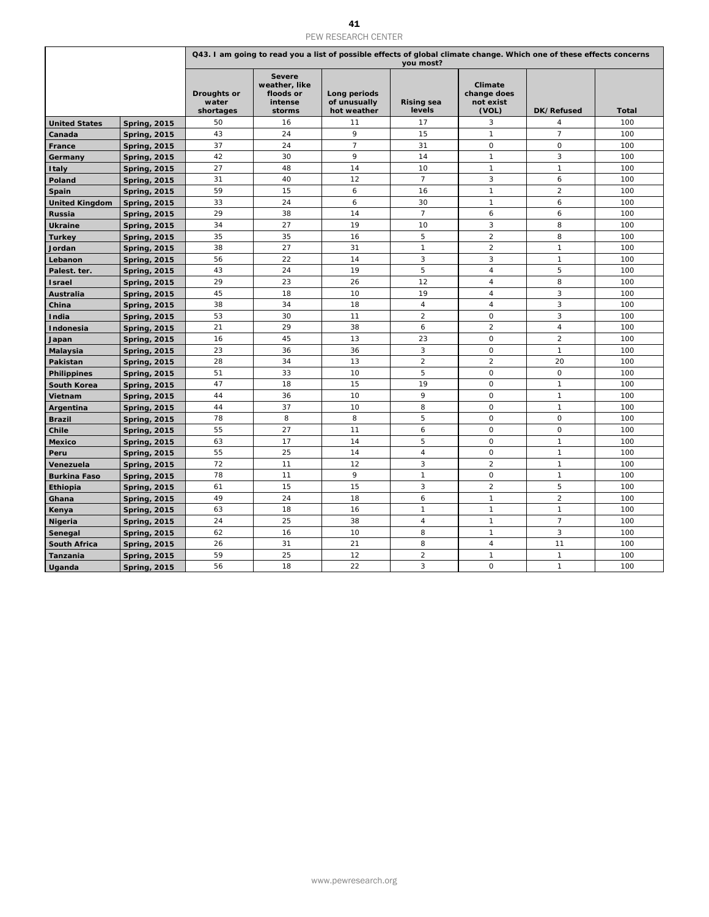|                                 |                                            |                                   |                                                                  | 41<br>PEW RESEARCH CENTER                   |                                          |                                              |                                                                                                                      |              |
|---------------------------------|--------------------------------------------|-----------------------------------|------------------------------------------------------------------|---------------------------------------------|------------------------------------------|----------------------------------------------|----------------------------------------------------------------------------------------------------------------------|--------------|
|                                 |                                            |                                   |                                                                  |                                             |                                          |                                              | Q43. I am going to read you a list of possible effects of global climate change. Which one of these effects concerns |              |
|                                 |                                            | Droughts or<br>water<br>shortages | <b>Severe</b><br>weather, like<br>floods or<br>intense<br>storms | Long periods<br>of unusually<br>hot weather | you most?<br><b>Rising sea</b><br>levels | Climate<br>change does<br>not exist<br>(VOL) | DK/Refused                                                                                                           | <b>Total</b> |
| <b>United States</b>            | <b>Spring, 2015</b>                        | 50                                | 16                                                               | 11                                          | 17                                       | 3                                            | $\overline{4}$                                                                                                       | 100          |
| Canada                          | <b>Spring, 2015</b>                        | 43                                | 24                                                               | 9                                           | 15                                       | $\mathbf{1}$                                 | $\overline{7}$                                                                                                       | 100          |
| France                          | <b>Spring, 2015</b>                        | 37<br>42                          | 24<br>30                                                         | $\overline{7}$<br>9                         | 31<br>14                                 | $\mathsf{O}$<br>$\mathbf{1}$                 | $\circ$<br>3                                                                                                         | 100<br>100   |
| Germany<br><b>Italy</b>         | <b>Spring, 2015</b><br><b>Spring, 2015</b> | 27                                | 48                                                               | 14                                          | 10                                       | $\mathbf{1}$                                 | $\mathbf{1}$                                                                                                         | 100          |
| Poland                          | <b>Spring, 2015</b>                        | 31                                | 40                                                               | 12                                          | $\overline{7}$                           | 3                                            | 6                                                                                                                    | 100          |
| Spain                           | <b>Spring, 2015</b>                        | 59                                | 15                                                               | 6                                           | 16                                       | $\mathbf{1}$                                 | $\overline{2}$                                                                                                       | 100          |
| <b>United Kingdom</b>           | <b>Spring, 2015</b>                        | 33<br>29                          | 24<br>38                                                         | 6                                           | 30<br>$\overline{7}$                     | $\mathbf{1}$<br>6                            | 6                                                                                                                    | 100<br>100   |
| Russia<br><b>Ukraine</b>        | <b>Spring, 2015</b><br><b>Spring, 2015</b> | 34                                | 27                                                               | 14<br>19                                    | 10                                       | 3                                            | 6<br>8                                                                                                               | 100          |
| Turkey                          | <b>Spring, 2015</b>                        | 35                                | 35                                                               | 16                                          | 5                                        | $\overline{a}$                               | 8                                                                                                                    | 100          |
| Jordan                          | <b>Spring, 2015</b>                        | 38                                | 27                                                               | 31                                          | $\mathbf{1}$                             | $\overline{2}$                               | $\mathbf{1}$                                                                                                         | 100          |
| Lebanon                         | <b>Spring, 2015</b>                        | 56<br>43                          | 22<br>24                                                         | 14<br>19                                    | 3<br>5                                   | 3<br>$\overline{4}$                          | $\mathbf{1}$<br>5                                                                                                    | 100<br>100   |
| Palest. ter.<br><b>Israel</b>   | <b>Spring, 2015</b><br><b>Spring, 2015</b> | 29                                | 23                                                               | 26                                          | 12                                       | 4                                            | 8                                                                                                                    | 100          |
| Australia                       | <b>Spring, 2015</b>                        | 45                                | 18                                                               | 10                                          | 19                                       | $\overline{4}$                               | 3                                                                                                                    | 100          |
| China                           | <b>Spring, 2015</b>                        | 38                                | 34                                                               | 18                                          | $\overline{4}$                           | $\sqrt{4}$                                   | 3                                                                                                                    | 100          |
| India                           | <b>Spring, 2015</b>                        | 53<br>21                          | 30<br>29                                                         | 11<br>38                                    | $\overline{a}$<br>6                      | $\mathsf O$<br>$\overline{2}$                | $\ensuremath{\mathsf{3}}$<br>$\overline{4}$                                                                          | 100<br>100   |
| Indonesia<br>Japan              | <b>Spring, 2015</b><br><b>Spring, 2015</b> | 16                                | 45                                                               | 13                                          | 23                                       | $\mathsf O$                                  | $\overline{2}$                                                                                                       | 100          |
| Malaysia                        | <b>Spring, 2015</b>                        | 23                                | 36                                                               | 36                                          | 3                                        | $\mathbf 0$                                  | $\mathbf{1}$                                                                                                         | 100          |
| Pakistan                        | <b>Spring, 2015</b>                        | 28                                | 34                                                               | 13                                          | $\overline{2}$                           | $\overline{a}$                               | 20                                                                                                                   | 100          |
| <b>Philippines</b>              | <b>Spring, 2015</b>                        | 51                                | 33                                                               | 10                                          | 5                                        | $\circ$                                      | $\mathsf O$                                                                                                          | 100          |
| South Korea<br>Vietnam          | <b>Spring, 2015</b><br><b>Spring, 2015</b> | 47<br>44                          | 18<br>36                                                         | 15<br>10                                    | 19<br>9                                  | $\mathsf O$<br>$\mathbf 0$                   | $\mathbf{1}$<br>$\mathbf{1}$                                                                                         | 100<br>100   |
| Argentina                       | <b>Spring, 2015</b>                        | 44                                | 37                                                               | 10                                          | 8                                        | $\mathsf O$                                  | $\mathbf{1}$                                                                                                         | 100          |
| <b>Brazil</b>                   | <b>Spring, 2015</b>                        | 78                                | 8                                                                | 8                                           | 5                                        | $\mathsf O$                                  | $\mathsf{O}\xspace$                                                                                                  | 100          |
| Chile                           | <b>Spring, 2015</b>                        | 55                                | 27                                                               | 11                                          | 6                                        | $\mathsf O$                                  | $\mathsf O$                                                                                                          | 100          |
| <b>Mexico</b><br>Peru           | <b>Spring, 2015</b><br><b>Spring, 2015</b> | 63<br>55                          | 17<br>25                                                         | 14<br>14                                    | 5<br>$\overline{4}$                      | $\mathsf O$<br>$\circ$                       | $\mathbf{1}$<br>$\mathbf{1}$                                                                                         | 100<br>100   |
| Venezuela                       | <b>Spring, 2015</b>                        | 72                                | 11                                                               | 12                                          | 3                                        | 2                                            | $\mathbf{1}$                                                                                                         | 100          |
| <b>Burkina Faso</b>             | <b>Spring, 2015</b>                        | 78                                | 11                                                               | 9                                           | $\mathbf{1}$                             | $\mathbf 0$                                  | $\mathbf{1}$                                                                                                         | 100          |
| Ethiopia                        | <b>Spring, 2015</b>                        | 61<br>49                          | 15<br>24                                                         | 15<br>18                                    | 3<br>$\boldsymbol{6}$                    | $\overline{2}$<br>$\mathbf{1}$               | 5<br>$\overline{2}$                                                                                                  | 100<br>100   |
| Ghana<br>Kenya                  | <b>Spring, 2015</b><br><b>Spring, 2015</b> | 63                                | 18                                                               | 16                                          | $\mathbf{1}$                             | $\mathbf{1}$                                 | $\mathbf{1}$                                                                                                         | 100          |
| <b>Nigeria</b>                  | <b>Spring, 2015</b>                        | 24                                | 25                                                               | 38                                          | $\overline{4}$                           | $\mathbf{1}$                                 | $\overline{7}$                                                                                                       | 100          |
| Senegal                         | <b>Spring, 2015</b>                        | 62                                | 16                                                               | 10                                          | 8                                        | $\mathbf{1}$                                 | 3                                                                                                                    | 100          |
| <b>South Africa</b><br>Tanzania | <b>Spring, 2015</b><br><b>Spring, 2015</b> | 26<br>59                          | 31<br>25                                                         | 21<br>12                                    | 8<br>$\overline{2}$                      | 4<br>$\mathbf{1}$                            | 11<br>$\mathbf{1}$                                                                                                   | 100<br>100   |
| Uganda                          | <b>Spring, 2015</b>                        | 56                                | 18                                                               | 22                                          | 3                                        | 0                                            | $\mathbf{1}$                                                                                                         | 100          |
|                                 |                                            |                                   |                                                                  |                                             |                                          |                                              |                                                                                                                      |              |
|                                 |                                            |                                   |                                                                  | www.pewresearch.org                         |                                          |                                              |                                                                                                                      |              |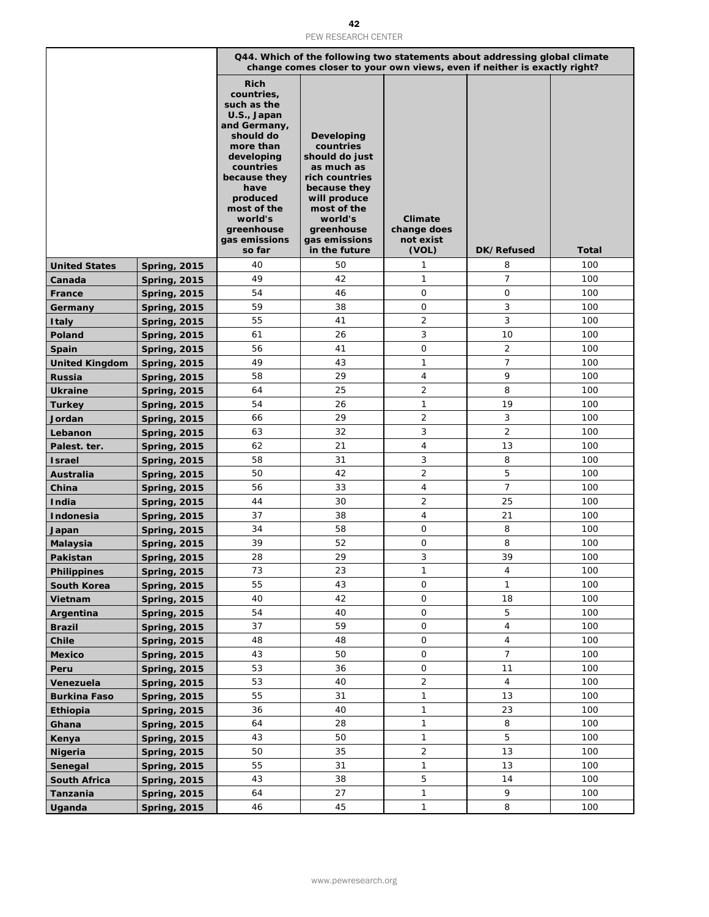|                                        |                                            |                                                                                                                                                                                                                                     | 42<br>PEW RESEARCH CENTER                                                                                                                                                                  |                                              |                      |              |
|----------------------------------------|--------------------------------------------|-------------------------------------------------------------------------------------------------------------------------------------------------------------------------------------------------------------------------------------|--------------------------------------------------------------------------------------------------------------------------------------------------------------------------------------------|----------------------------------------------|----------------------|--------------|
|                                        |                                            |                                                                                                                                                                                                                                     | Q44. Which of the following two statements about addressing global climate<br>change comes closer to your own views, even if neither is exactly right?                                     |                                              |                      |              |
|                                        |                                            | <b>Rich</b><br>countries,<br>such as the<br>U.S., Japan<br>and Germany,<br>should do<br>more than<br>developing<br>countries<br>because they<br>have<br>produced<br>most of the<br>world's<br>greenhouse<br>gas emissions<br>so far | <b>Developing</b><br>countries<br>should do just<br>as much as<br>rich countries<br>because they<br>will produce<br>most of the<br>world's<br>greenhouse<br>gas emissions<br>in the future | Climate<br>change does<br>not exist<br>(VOL) | DK/Refused           | <b>Total</b> |
| <b>United States</b>                   | <b>Spring, 2015</b>                        | 40                                                                                                                                                                                                                                  | 50                                                                                                                                                                                         | 1                                            | 8                    | 100          |
| Canada                                 | <b>Spring, 2015</b>                        | 49                                                                                                                                                                                                                                  | 42                                                                                                                                                                                         | 1                                            | $\overline{7}$       | 100          |
| France                                 | <b>Spring, 2015</b>                        | 54                                                                                                                                                                                                                                  | 46                                                                                                                                                                                         | 0                                            | 0                    | 100          |
| Germany                                | <b>Spring, 2015</b>                        | 59                                                                                                                                                                                                                                  | 38                                                                                                                                                                                         | $\mathbf{O}$                                 | 3                    | 100          |
| <b>Italy</b>                           | <b>Spring, 2015</b>                        | 55                                                                                                                                                                                                                                  | 41                                                                                                                                                                                         | $\overline{2}$<br>3                          | 3                    | 100          |
| Poland                                 | <b>Spring, 2015</b>                        | 61<br>56                                                                                                                                                                                                                            | 26<br>41                                                                                                                                                                                   | $\mathbf{O}$                                 | 10<br>$\overline{2}$ | 100<br>100   |
| Spain                                  | <b>Spring, 2015</b>                        | 49                                                                                                                                                                                                                                  | 43                                                                                                                                                                                         | 1                                            | $\overline{7}$       | 100          |
| <b>United Kingdom</b><br><b>Russia</b> | <b>Spring, 2015</b><br><b>Spring, 2015</b> | 58                                                                                                                                                                                                                                  | 29                                                                                                                                                                                         | $\overline{4}$                               | 9                    | 100          |
| Ukraine                                | <b>Spring, 2015</b>                        | 64                                                                                                                                                                                                                                  | 25                                                                                                                                                                                         | $\overline{2}$                               | 8                    | 100          |
| Turkey                                 | <b>Spring, 2015</b>                        | 54                                                                                                                                                                                                                                  | 26                                                                                                                                                                                         | 1                                            | 19                   | 100          |
| Jordan                                 | <b>Spring, 2015</b>                        | 66                                                                                                                                                                                                                                  | 29                                                                                                                                                                                         | $\overline{2}$                               | 3                    | 100          |
| Lebanon                                | <b>Spring, 2015</b>                        | 63                                                                                                                                                                                                                                  | 32                                                                                                                                                                                         | 3                                            | $\overline{2}$       | 100          |
| Palest. ter.                           | <b>Spring, 2015</b>                        | 62                                                                                                                                                                                                                                  | 21                                                                                                                                                                                         | $\overline{4}$                               | 13                   | 100          |
| <b>Israel</b>                          | <b>Spring, 2015</b>                        | 58                                                                                                                                                                                                                                  | 31                                                                                                                                                                                         | 3                                            | 8                    | 100          |
| Australia                              | <b>Spring, 2015</b>                        | 50                                                                                                                                                                                                                                  | 42                                                                                                                                                                                         | $\overline{2}$                               | 5                    | 100          |
| China                                  | <b>Spring, 2015</b>                        | 56                                                                                                                                                                                                                                  | 33                                                                                                                                                                                         | $\overline{4}$                               | $\overline{7}$       | 100          |
| India                                  | <b>Spring, 2015</b>                        | 44                                                                                                                                                                                                                                  | 30                                                                                                                                                                                         | $\overline{2}$                               | 25                   | 100          |
| Indonesia                              | <b>Spring, 2015</b>                        | 37                                                                                                                                                                                                                                  | 38                                                                                                                                                                                         | 4                                            | 21                   | 100          |
| Japan                                  | <b>Spring, 2015</b>                        | 34                                                                                                                                                                                                                                  | 58                                                                                                                                                                                         | $\mathbf{O}$                                 | 8                    | 100          |
| <b>Malaysia</b>                        | <b>Spring, 2015</b>                        | 39                                                                                                                                                                                                                                  | 52                                                                                                                                                                                         | 0                                            | 8                    | 100          |
| Pakistan                               | <b>Spring, 2015</b>                        | 28                                                                                                                                                                                                                                  | 29                                                                                                                                                                                         | 3                                            | 39                   | 100          |
| <b>Philippines</b>                     | <b>Spring, 2015</b>                        | 73                                                                                                                                                                                                                                  | 23                                                                                                                                                                                         | 1                                            | 4                    | 100          |
| South Korea                            | <b>Spring, 2015</b>                        | 55                                                                                                                                                                                                                                  | 43                                                                                                                                                                                         | $\mathsf{O}\xspace$                          | $\mathbf{1}$         | 100          |
| Vietnam                                | <b>Spring, 2015</b>                        | 40                                                                                                                                                                                                                                  | 42                                                                                                                                                                                         | $\mathsf{O}\xspace$                          | 18                   | 100          |
| Argentina                              | <b>Spring, 2015</b>                        | 54                                                                                                                                                                                                                                  | 40                                                                                                                                                                                         | $\mathsf{O}\xspace$                          | 5                    | 100          |
| <b>Brazil</b>                          | <b>Spring, 2015</b>                        | 37                                                                                                                                                                                                                                  | 59                                                                                                                                                                                         | $\mathsf O$                                  | $\overline{4}$       | 100          |
| Chile                                  | <b>Spring, 2015</b>                        | 48                                                                                                                                                                                                                                  | 48                                                                                                                                                                                         | 0                                            | 4                    | 100          |
| <b>Mexico</b>                          | <b>Spring, 2015</b>                        | 43<br>53                                                                                                                                                                                                                            | 50<br>36                                                                                                                                                                                   | $\mathsf O$<br>$\mathsf{O}\xspace$           | $\overline{7}$<br>11 | 100<br>100   |
| Peru<br>Venezuela                      | <b>Spring, 2015</b><br><b>Spring, 2015</b> | 53                                                                                                                                                                                                                                  | 40                                                                                                                                                                                         | $\overline{a}$                               | $\overline{4}$       | 100          |
| Burkina Faso                           | <b>Spring, 2015</b>                        | 55                                                                                                                                                                                                                                  | 31                                                                                                                                                                                         | 1                                            | 13                   | 100          |
| Ethiopia                               | <b>Spring, 2015</b>                        | 36                                                                                                                                                                                                                                  | 40                                                                                                                                                                                         | $\mathbf{1}$                                 | 23                   | 100          |
| Ghana                                  | <b>Spring, 2015</b>                        | 64                                                                                                                                                                                                                                  | 28                                                                                                                                                                                         | $\mathbf{1}$                                 | 8                    | 100          |
| Kenya                                  | <b>Spring, 2015</b>                        | 43                                                                                                                                                                                                                                  | 50                                                                                                                                                                                         | 1                                            | 5                    | 100          |
| <b>Nigeria</b>                         | <b>Spring, 2015</b>                        | 50                                                                                                                                                                                                                                  | 35                                                                                                                                                                                         | $\overline{a}$                               | 13                   | 100          |
| Senegal                                | <b>Spring, 2015</b>                        | 55                                                                                                                                                                                                                                  | 31                                                                                                                                                                                         | 1                                            | 13                   | 100          |
| South Africa                           | <b>Spring, 2015</b>                        | 43                                                                                                                                                                                                                                  | 38                                                                                                                                                                                         | 5                                            | 14                   | 100          |
| Tanzania                               | <b>Spring, 2015</b>                        | 64                                                                                                                                                                                                                                  | 27                                                                                                                                                                                         | 1                                            | 9                    | 100          |
| Uganda                                 | <b>Spring, 2015</b>                        | 46                                                                                                                                                                                                                                  | 45                                                                                                                                                                                         | 1                                            | 8                    | 100          |
|                                        |                                            |                                                                                                                                                                                                                                     | www.pewresearch.org                                                                                                                                                                        |                                              |                      |              |